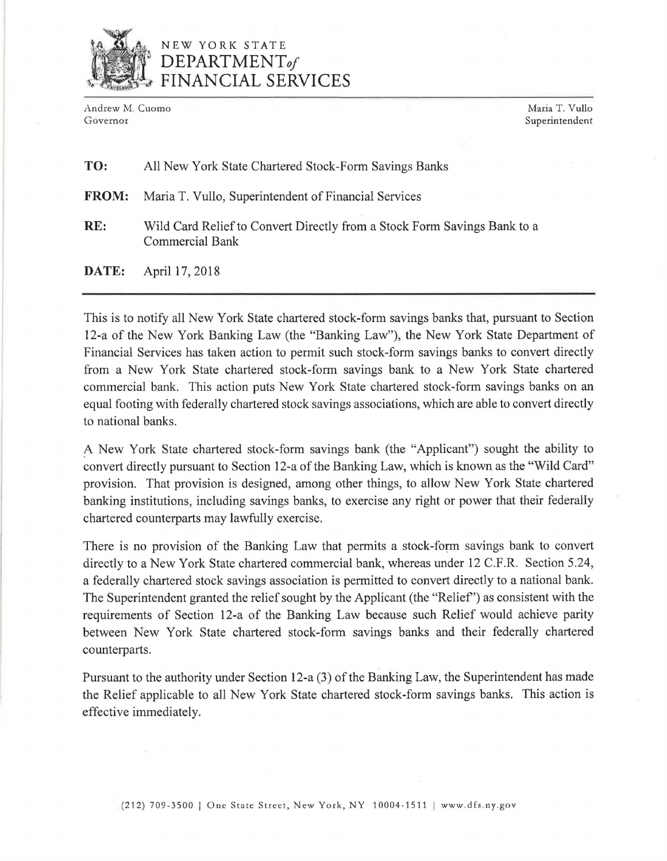

## NEW YORK STATE *DEPARTMENTof*  FINANCIAL SERVICES

Andrew M. Cuomo Maria T. Vullo<br>Governor Maria T. Vullo

Superintendent

## TO: All New York State Chartered Stock-Form Savings Banks

FROM: Maria T. Vullo, Superintendent of Financial Services

RE: Wild Card Relief to Convert Directly from a Stock Form Savings Bank to a Commercial Bank

DATE: April 17, 2018

This is to notify all New York State chartered stock-form savings banks that, pursuant to Section 12-a of the New York Banking Law (the "Banking Law"), the New York State Department of Financial Services has taken action to permit such stock-form savings banks to convert directly from a New York State chartered stock-form savings bank to a New York State chartered commercial bank. This action puts New York State chartered stock-form savings banks on an equal footing with federally chartered stock savings associations, which are able to convert directly to national banks.

A New York State chartered stock-form savings bank (the "Applicant") sought the ability to convert directly pursuant to Section 12-a of the Banking Law, which is known as the "Wild Card" provision. That provision is designed, among other things, to allow New York State chartered banking institutions, including savings banks, to exercise any right or power that their federally chartered counterparts may lawfully exercise.

There is no provision of the Banking Law that permits a stock-form savings bank to convert directly to a New York State chartered commercial bank, whereas under 12 C.F.R. Section 5.24, a federally chartered stock savings association is permitted to convert directly to a national bank. The Superintendent granted the relief sought by the Applicant (the "Relief') as consistent with the requirements of Section 12-a of the Banking Law because such Relief would achieve parity between New York State chartered stock-form savings banks and their federally chartered counterparts.

Pursuant to the authority under Section 12-a (3) of the Banking Law, the Superintendent has made the Relief applicable to all New York State chartered stock-form savings banks. This action is effective immediately.